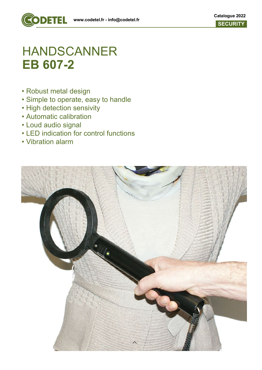

# HANDSCANNER **EB 607-2**

- Robust metal design
- Simple to operate, easy to handle
- High detection sensivity
- Automatic calibration
- Loud audio signal
- LED indication for control functions
- Vibration alarm